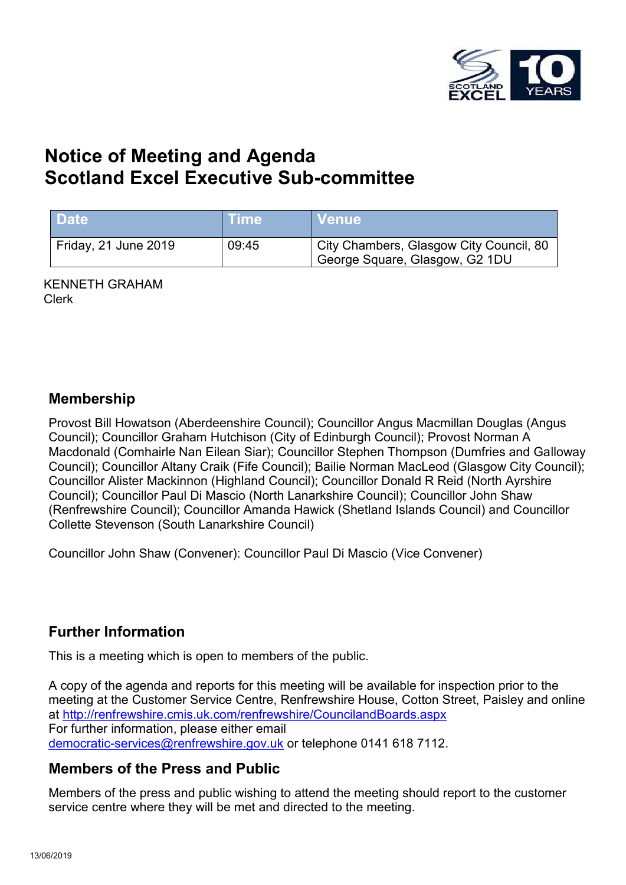

# **Notice of Meeting and Agenda Scotland Excel Executive Sub-committee**

| <b>Date</b>          | <b>Time</b> | <b>Venue</b>                                                              |
|----------------------|-------------|---------------------------------------------------------------------------|
| Friday, 21 June 2019 | 09:45       | City Chambers, Glasgow City Council, 80<br>George Square, Glasgow, G2 1DU |

KENNETH GRAHAM Clerk

#### **Membership**

Provost Bill Howatson (Aberdeenshire Council); Councillor Angus Macmillan Douglas (Angus Council); Councillor Graham Hutchison (City of Edinburgh Council); Provost Norman A Macdonald (Comhairle Nan Eilean Siar); Councillor Stephen Thompson (Dumfries and Galloway Council); Councillor Altany Craik (Fife Council); Bailie Norman MacLeod (Glasgow City Council); Councillor Alister Mackinnon (Highland Council); Councillor Donald R Reid (North Ayrshire Council); Councillor Paul Di Mascio (North Lanarkshire Council); Councillor John Shaw (Renfrewshire Council); Councillor Amanda Hawick (Shetland Islands Council) and Councillor Collette Stevenson (South Lanarkshire Council)

Councillor John Shaw (Convener): Councillor Paul Di Mascio (Vice Convener)

## **Further Information**

This is a meeting which is open to members of the public.

A copy of the agenda and reports for this meeting will be available for inspection prior to the meeting at the Customer Service Centre, Renfrewshire House, Cotton Street, Paisley and online at <http://renfrewshire.cmis.uk.com/renfrewshire/CouncilandBoards.aspx> For further information, please either email [democratic-services@renfrewshire.gov.uk](mailto:democratic-services@renfrewshire.gov.uk) or telephone 0141 618 7112.

## **Members of the Press and Public**

Members of the press and public wishing to attend the meeting should report to the customer service centre where they will be met and directed to the meeting.